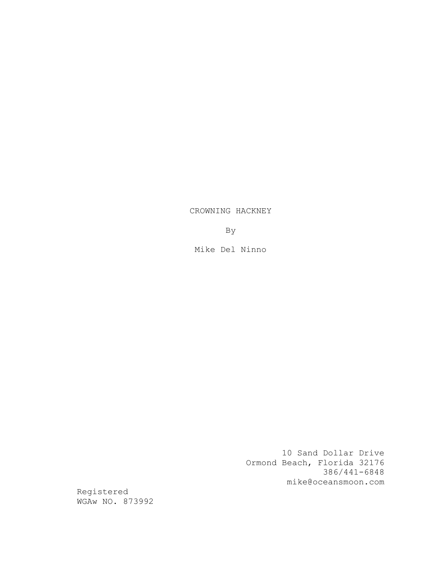CROWNING HACKNEY

By

Mike Del Ninno

10 Sand Dollar Drive Ormond Beach, Florida 32176 386/441-6848 mike@oceansmoon.com

Registered WGAw NO. 873992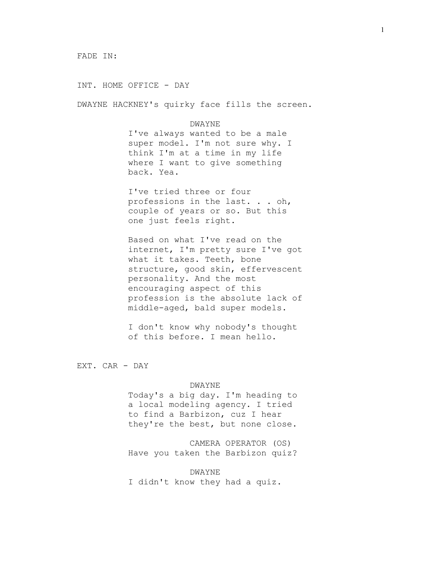INT. HOME OFFICE - DAY

DWAYNE HACKNEY's quirky face fills the screen.

#### DWAYNE

I've always wanted to be a male super model. I'm not sure why. I think I'm at a time in my life where I want to give something back. Yea.

I've tried three or four professions in the last. . . oh, couple of years or so. But this one just feels right.

Based on what I've read on the internet, I'm pretty sure I've got what it takes. Teeth, bone structure, good skin, effervescent personality. And the most encouraging aspect of this profession is the absolute lack of middle-aged, bald super models.

I don't know why nobody's thought of this before. I mean hello.

EXT. CAR - DAY

#### DWAYNE

Today's a big day. I'm heading to a local modeling agency. I tried to find a Barbizon, cuz I hear they're the best, but none close.

 CAMERA OPERATOR (OS) Have you taken the Barbizon quiz?

DWAYNE

I didn't know they had a quiz.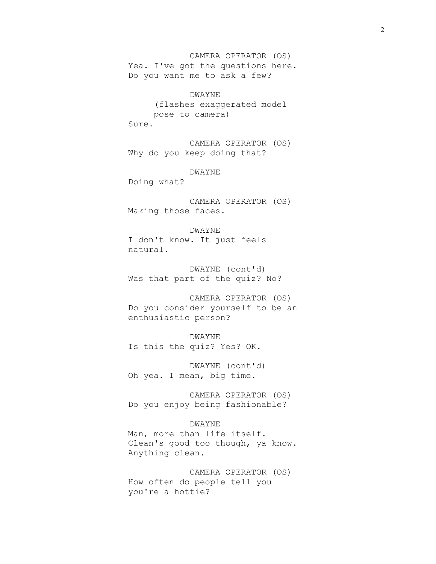CAMERA OPERATOR (OS) Yea. I've got the questions here. Do you want me to ask a few?

 DWAYNE (flashes exaggerated model pose to camera) Sure.

 CAMERA OPERATOR (OS) Why do you keep doing that?

DWAYNE

Doing what?

 CAMERA OPERATOR (OS) Making those faces.

### DWAYNE

I don't know. It just feels natural.

 DWAYNE (cont'd) Was that part of the quiz? No?

 CAMERA OPERATOR (OS) Do you consider yourself to be an enthusiastic person?

 DWAYNE Is this the quiz? Yes? OK.

 DWAYNE (cont'd) Oh yea. I mean, big time.

 CAMERA OPERATOR (OS) Do you enjoy being fashionable?

# DWAYNE

Man, more than life itself. Clean's good too though, ya know. Anything clean.

 CAMERA OPERATOR (OS) How often do people tell you you're a hottie?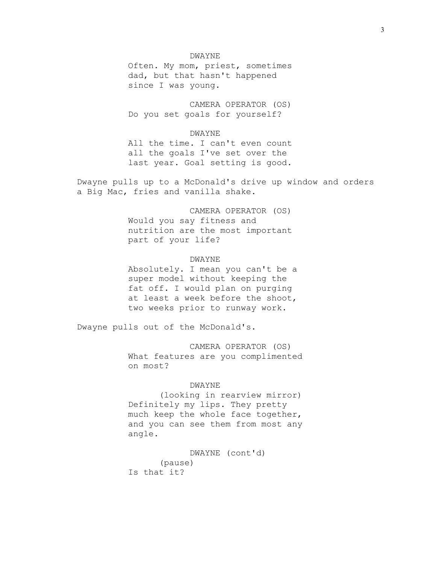## DWAYNE

Often. My mom, priest, sometimes dad, but that hasn't happened since I was young.

 CAMERA OPERATOR (OS) Do you set goals for yourself?

## DWAYNE

All the time. I can't even count all the goals I've set over the last year. Goal setting is good.

Dwayne pulls up to a McDonald's drive up window and orders a Big Mac, fries and vanilla shake.

> CAMERA OPERATOR (OS) Would you say fitness and nutrition are the most important part of your life?

## DWAYNE

Absolutely. I mean you can't be a super model without keeping the fat off. I would plan on purging at least a week before the shoot, two weeks prior to runway work.

Dwayne pulls out of the McDonald's.

 CAMERA OPERATOR (OS) What features are you complimented on most?

### DWAYNE

(looking in rearview mirror) Definitely my lips. They pretty much keep the whole face together, and you can see them from most any angle.

 DWAYNE (cont'd) (pause) Is that it?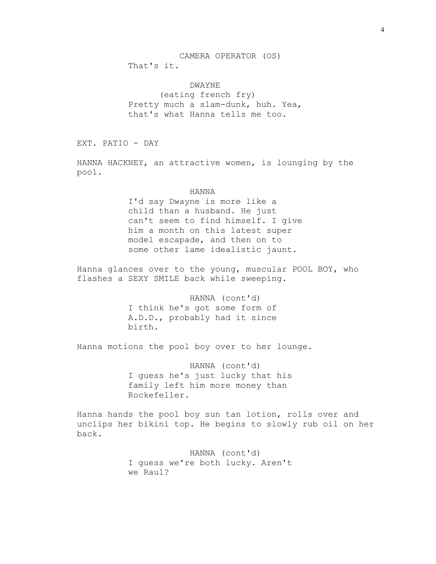CAMERA OPERATOR (OS)

That's it.

 DWAYNE (eating french fry) Pretty much a slam-dunk, huh. Yea, that's what Hanna tells me too.

EXT. PATIO - DAY

HANNA HACKNEY, an attractive women, is lounging by the pool.

## HANNA

I'd say Dwayne is more like a child than a husband. He just can't seem to find himself. I give him a month on this latest super model escapade, and then on to some other lame idealistic jaunt.

Hanna glances over to the young, muscular POOL BOY, who flashes a SEXY SMILE back while sweeping.

> HANNA (cont'd) I think he's got some form of A.D.D., probably had it since birth.

Hanna motions the pool boy over to her lounge.

 HANNA (cont'd) I guess he's just lucky that his family left him more money than Rockefeller.

Hanna hands the pool boy sun tan lotion, rolls over and unclips her bikini top. He begins to slowly rub oil on her back.

> HANNA (cont'd) I guess we're both lucky. Aren't we Raul?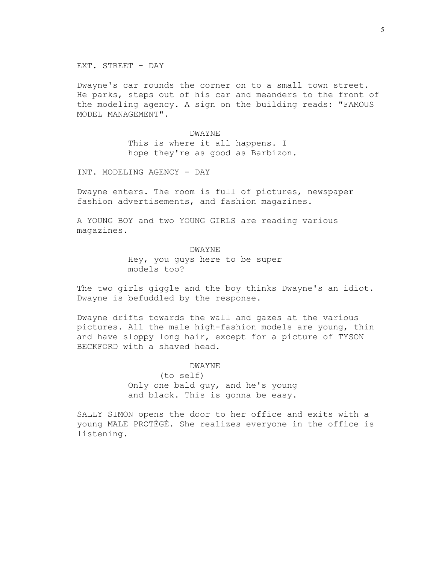EXT. STREET - DAY

Dwayne's car rounds the corner on to a small town street. He parks, steps out of his car and meanders to the front of the modeling agency. A sign on the building reads: "FAMOUS MODEL MANAGEMENT".

> DWAYNE This is where it all happens. I hope they're as good as Barbizon.

INT. MODELING AGENCY - DAY

Dwayne enters. The room is full of pictures, newspaper fashion advertisements, and fashion magazines.

A YOUNG BOY and two YOUNG GIRLS are reading various magazines.

> DWAYNE Hey, you guys here to be super models too?

The two girls giggle and the boy thinks Dwayne's an idiot. Dwayne is befuddled by the response.

Dwayne drifts towards the wall and gazes at the various pictures. All the male high-fashion models are young, thin and have sloppy long hair, except for a picture of TYSON BECKFORD with a shaved head.

DWAYNE

(to self) Only one bald guy, and he's young and black. This is gonna be easy.

SALLY SIMON opens the door to her office and exits with a young MALE PROTÉGÉ. She realizes everyone in the office is listening.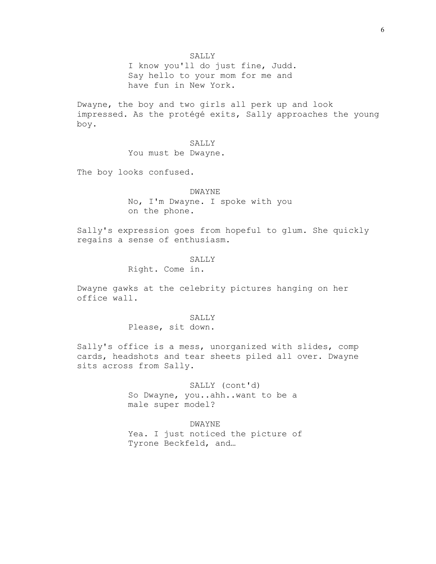SALLY

I know you'll do just fine, Judd. Say hello to your mom for me and have fun in New York.

Dwayne, the boy and two girls all perk up and look impressed. As the protégé exits, Sally approaches the young boy.

> **SALLY** You must be Dwayne.

The boy looks confused.

### DWAYNE

No, I'm Dwayne. I spoke with you on the phone.

Sally's expression goes from hopeful to glum. She quickly regains a sense of enthusiasm.

> SALLY Right. Come in.

Dwayne gawks at the celebrity pictures hanging on her office wall.

> SALLY Please, sit down.

Sally's office is a mess, unorganized with slides, comp cards, headshots and tear sheets piled all over. Dwayne sits across from Sally.

> SALLY (cont'd) So Dwayne, you..ahh..want to be a male super model?

DWAYNE Yea. I just noticed the picture of Tyrone Beckfeld, and…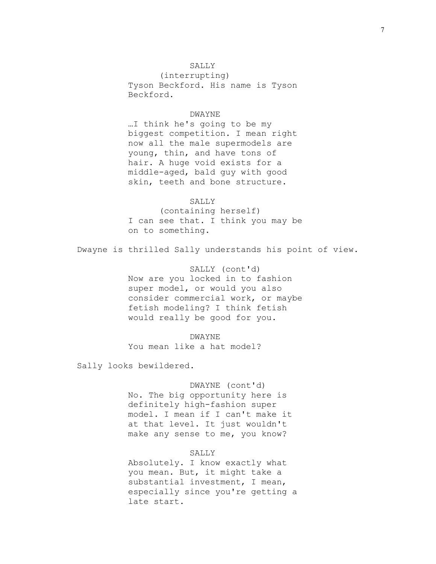# SALLY

(interrupting) Tyson Beckford. His name is Tyson Beckford.

## DWAYNE

…I think he's going to be my biggest competition. I mean right now all the male supermodels are young, thin, and have tons of hair. A huge void exists for a middle-aged, bald guy with good skin, teeth and bone structure.

 SALLY (containing herself) I can see that. I think you may be on to something.

Dwayne is thrilled Sally understands his point of view.

 SALLY (cont'd) Now are you locked in to fashion super model, or would you also consider commercial work, or maybe fetish modeling? I think fetish would really be good for you.

## DWAYNE

You mean like a hat model?

Sally looks bewildered.

## DWAYNE (cont'd)

No. The big opportunity here is definitely high-fashion super model. I mean if I can't make it at that level. It just wouldn't make any sense to me, you know?

### SALLY

Absolutely. I know exactly what you mean. But, it might take a substantial investment, I mean, especially since you're getting a late start.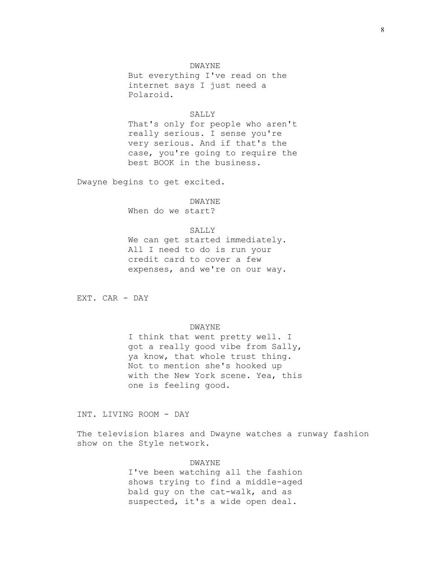## DWAYNE

But everything I've read on the internet says I just need a Polaroid.

## SALLY

That's only for people who aren't really serious. I sense you're very serious. And if that's the case, you're going to require the best BOOK in the business.

Dwayne begins to get excited.

DWAYNE

When do we start?

## SALLY

We can get started immediately. All I need to do is run your credit card to cover a few expenses, and we're on our way.

EXT. CAR - DAY

### DWAYNE

I think that went pretty well. I got a really good vibe from Sally, ya know, that whole trust thing. Not to mention she's hooked up with the New York scene. Yea, this one is feeling good.

INT. LIVING ROOM - DAY

The television blares and Dwayne watches a runway fashion show on the Style network.

> DWAYNE I've been watching all the fashion shows trying to find a middle-aged bald guy on the cat-walk, and as suspected, it's a wide open deal.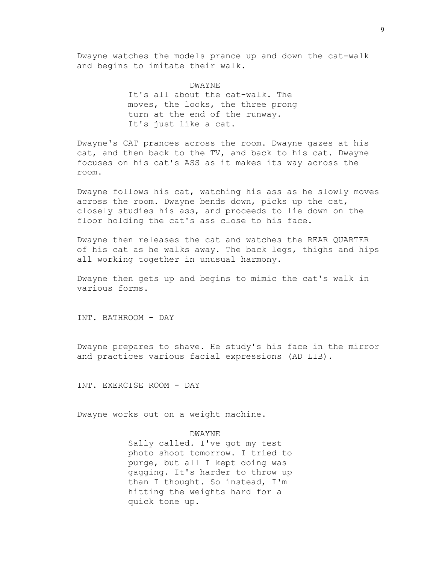Dwayne watches the models prance up and down the cat-walk and begins to imitate their walk.

> DWAYNE It's all about the cat-walk. The moves, the looks, the three prong turn at the end of the runway. It's just like a cat.

Dwayne's CAT prances across the room. Dwayne gazes at his cat, and then back to the TV, and back to his cat. Dwayne focuses on his cat's ASS as it makes its way across the room.

Dwayne follows his cat, watching his ass as he slowly moves across the room. Dwayne bends down, picks up the cat, closely studies his ass, and proceeds to lie down on the floor holding the cat's ass close to his face.

Dwayne then releases the cat and watches the REAR QUARTER of his cat as he walks away. The back legs, thighs and hips all working together in unusual harmony.

Dwayne then gets up and begins to mimic the cat's walk in various forms.

INT. BATHROOM - DAY

Dwayne prepares to shave. He study's his face in the mirror and practices various facial expressions (AD LIB).

INT. EXERCISE ROOM - DAY

Dwayne works out on a weight machine.

### DWAYNE

Sally called. I've got my test photo shoot tomorrow. I tried to purge, but all I kept doing was gagging. It's harder to throw up than I thought. So instead, I'm hitting the weights hard for a quick tone up.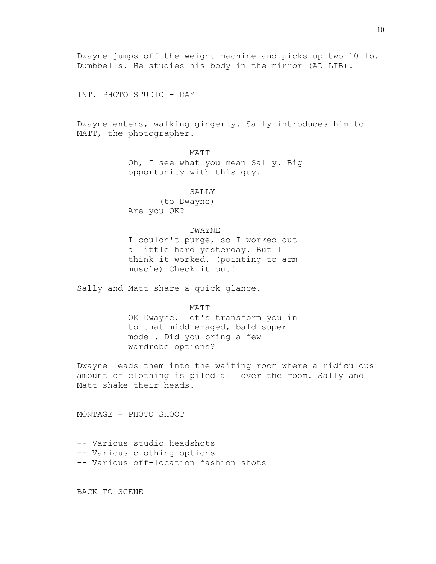Dwayne jumps off the weight machine and picks up two 10 lb. Dumbbells. He studies his body in the mirror (AD LIB).

INT. PHOTO STUDIO - DAY

Dwayne enters, walking gingerly. Sally introduces him to MATT, the photographer.

> MATT Oh, I see what you mean Sally. Big

opportunity with this guy.

SALLY

(to Dwayne) Are you OK?

### DWAYNE

I couldn't purge, so I worked out a little hard yesterday. But I think it worked. (pointing to arm muscle) Check it out!

Sally and Matt share a quick glance.

 MATT OK Dwayne. Let's transform you in to that middle-aged, bald super model. Did you bring a few wardrobe options?

Dwayne leads them into the waiting room where a ridiculous amount of clothing is piled all over the room. Sally and Matt shake their heads.

MONTAGE - PHOTO SHOOT

-- Various studio headshots -- Various clothing options -- Various off-location fashion shots

BACK TO SCENE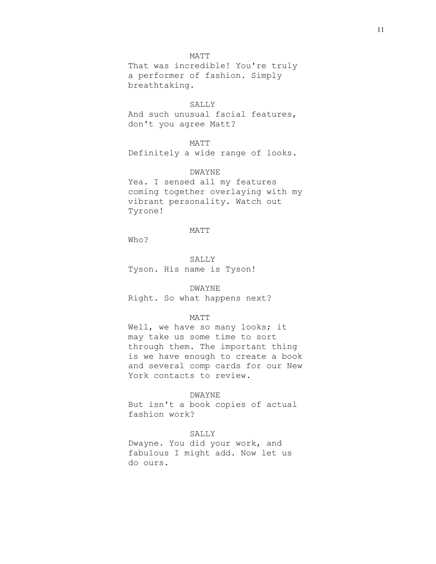### MATT

That was incredible! You're truly a performer of fashion. Simply breathtaking.

# SALLY

And such unusual facial features, don't you agree Matt?

# MATT

Definitely a wide range of looks.

# DWAYNE

Yea. I sensed all my features coming together overlaying with my vibrant personality. Watch out Tyrone!

### MATT

Who?

 SALLY Tyson. His name is Tyson!

## DWAYNE

Right. So what happens next?

### MATT

Well, we have so many looks; it may take us some time to sort through them. The important thing is we have enough to create a book and several comp cards for our New York contacts to review.

### DWAYNE

But isn't a book copies of actual fashion work?

# SALLY

Dwayne. You did your work, and fabulous I might add. Now let us do ours.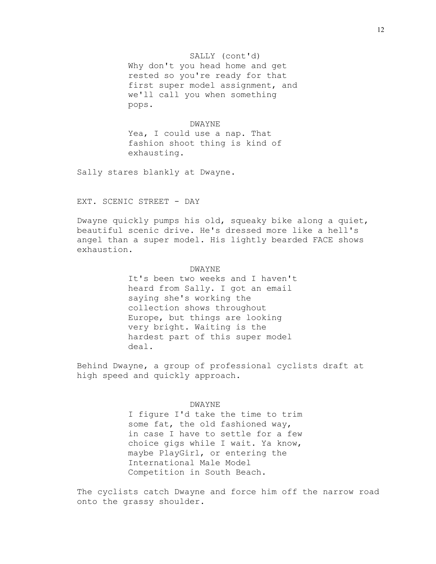## SALLY (cont'd)

Why don't you head home and get rested so you're ready for that first super model assignment, and we'll call you when something pops.

#### DWAYNE

Yea, I could use a nap. That fashion shoot thing is kind of exhausting.

Sally stares blankly at Dwayne.

EXT. SCENIC STREET - DAY

Dwayne quickly pumps his old, squeaky bike along a quiet, beautiful scenic drive. He's dressed more like a hell's angel than a super model. His lightly bearded FACE shows exhaustion.

#### DWAYNE

It's been two weeks and I haven't heard from Sally. I got an email saying she's working the collection shows throughout Europe, but things are looking very bright. Waiting is the hardest part of this super model deal.

Behind Dwayne, a group of professional cyclists draft at high speed and quickly approach.

### DWAYNE

I figure I'd take the time to trim some fat, the old fashioned way, in case I have to settle for a few choice gigs while I wait. Ya know, maybe PlayGirl, or entering the International Male Model Competition in South Beach.

The cyclists catch Dwayne and force him off the narrow road onto the grassy shoulder.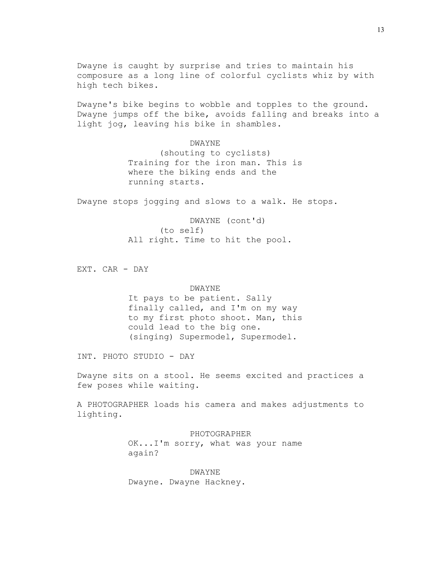Dwayne is caught by surprise and tries to maintain his composure as a long line of colorful cyclists whiz by with high tech bikes.

Dwayne's bike begins to wobble and topples to the ground. Dwayne jumps off the bike, avoids falling and breaks into a light jog, leaving his bike in shambles.

## DWAYNE

(shouting to cyclists) Training for the iron man. This is where the biking ends and the running starts.

Dwayne stops jogging and slows to a walk. He stops.

 DWAYNE (cont'd) (to self) All right. Time to hit the pool.

EXT. CAR - DAY

### DWAYNE

It pays to be patient. Sally finally called, and I'm on my way to my first photo shoot. Man, this could lead to the big one. (singing) Supermodel, Supermodel.

INT. PHOTO STUDIO - DAY

Dwayne sits on a stool. He seems excited and practices a few poses while waiting.

A PHOTOGRAPHER loads his camera and makes adjustments to lighting.

### PHOTOGRAPHER

OK...I'm sorry, what was your name again?

 DWAYNE Dwayne. Dwayne Hackney.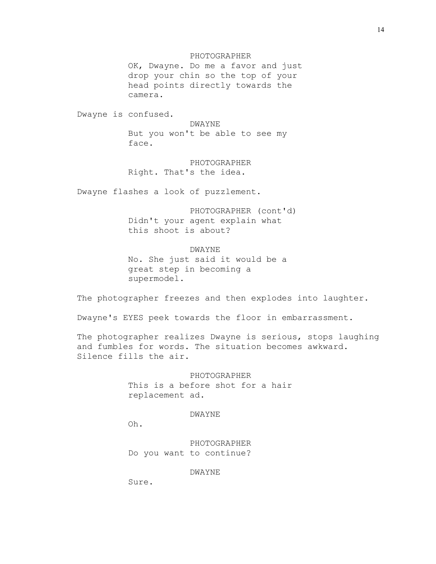## PHOTOGRAPHER

OK, Dwayne. Do me a favor and just drop your chin so the top of your head points directly towards the camera.

Dwayne is confused. DWAYNE But you won't be able to see my face.

> PHOTOGRAPHER Right. That's the idea.

Dwayne flashes a look of puzzlement.

 PHOTOGRAPHER (cont'd) Didn't your agent explain what this shoot is about?

DWAYNE

No. She just said it would be a great step in becoming a supermodel.

The photographer freezes and then explodes into laughter.

Dwayne's EYES peek towards the floor in embarrassment.

The photographer realizes Dwayne is serious, stops laughing and fumbles for words. The situation becomes awkward. Silence fills the air.

> PHOTOGRAPHER This is a before shot for a hair replacement ad.

## DWAYNE

Oh.

 PHOTOGRAPHER Do you want to continue?

DWAYNE

Sure.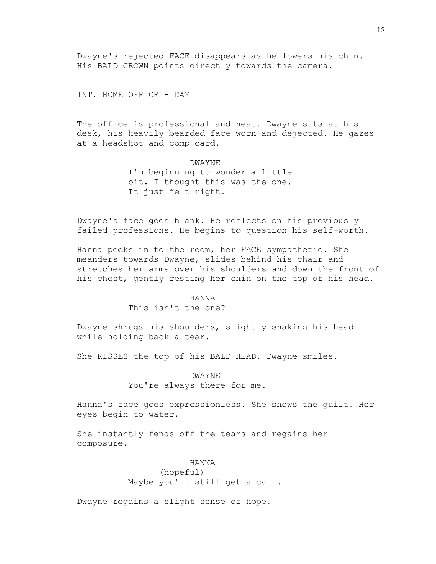Dwayne's rejected FACE disappears as he lowers his chin. His BALD CROWN points directly towards the camera.

INT. HOME OFFICE - DAY

The office is professional and neat. Dwayne sits at his desk, his heavily bearded face worn and dejected. He gazes at a headshot and comp card.

### DWAYNE

I'm beginning to wonder a little bit. I thought this was the one. It just felt right.

Dwayne's face goes blank. He reflects on his previously failed professions. He begins to question his self-worth.

Hanna peeks in to the room, her FACE sympathetic. She meanders towards Dwayne, slides behind his chair and stretches her arms over his shoulders and down the front of his chest, gently resting her chin on the top of his head.

### HANNA

This isn't the one?

Dwayne shrugs his shoulders, slightly shaking his head while holding back a tear.

She KISSES the top of his BALD HEAD. Dwayne smiles.

 DWAYNE You're always there for me.

Hanna's face goes expressionless. She shows the guilt. Her eyes begin to water.

She instantly fends off the tears and regains her composure.

> HANNA (hopeful) Maybe you'll still get a call.

Dwayne regains a slight sense of hope.